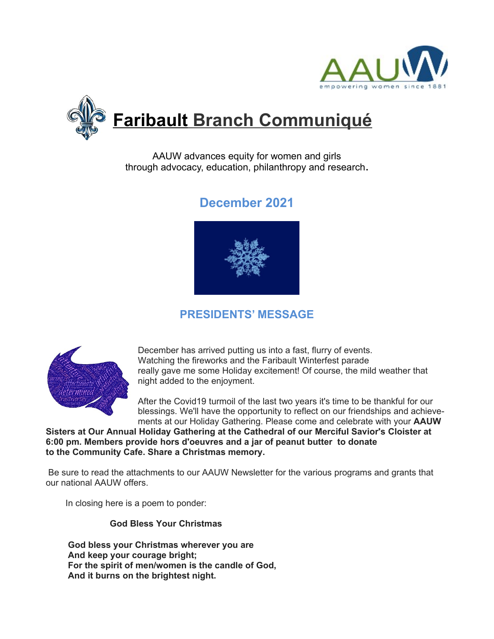



AAUW advances equity for women and girls through advocacy, education, philanthropy and research**.**

# **December 2021**



## **PRESIDENTS' MESSAGE**



December has arrived putting us into a fast, flurry of events. Watching the fireworks and the Faribault Winterfest parade really gave me some Holiday excitement! Of course, the mild weather that night added to the enjoyment.

After the Covid19 turmoil of the last two years it's time to be thankful for our blessings. We'll have the opportunity to reflect on our friendships and achievements at our Holiday Gathering. Please come and celebrate with your **AAUW** 

**Sisters at Our Annual Holiday Gathering at the Cathedral of our Merciful Savior's Cloister at 6:00 pm. Members provide hors d'oeuvres and a jar of peanut butter to donate to the Community Cafe. Share a Christmas memory.**

Be sure to read the attachments to our AAUW Newsletter for the various programs and grants that our national AAUW offers.

In closing here is a poem to ponder:

 **God Bless Your Christmas**

**God bless your Christmas wherever you are And keep your courage bright; For the spirit of men/women is the candle of God, And it burns on the brightest night.**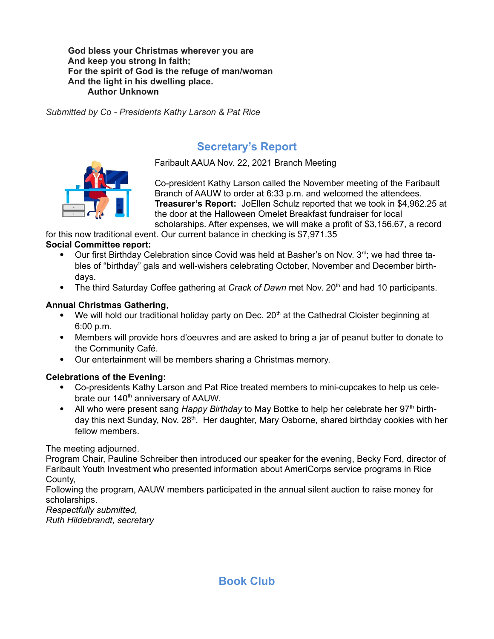**God bless your Christmas wherever you are And keep you strong in faith; For the spirit of God is the refuge of man/woman And the light in his dwelling place. Author Unknown**

*Submitted by Co - Presidents Kathy Larson & Pat Rice*

## **Secretary's Report**





Co-president Kathy Larson called the November meeting of the Faribault Branch of AAUW to order at 6:33 p.m. and welcomed the attendees. **Treasurer's Report:** JoEllen Schulz reported that we took in \$4,962.25 at the door at the Halloween Omelet Breakfast fundraiser for local scholarships. After expenses, we will make a profit of \$3,156.67, a record

for this now traditional event. Our current balance in checking is \$7,971.35

### **Social Committee report:**

- Our first Birthday Celebration since Covid was held at Basher's on Nov.  $3<sup>rd</sup>$ ; we had three tables of "birthday" gals and well-wishers celebrating October, November and December birthdays.
- The third Saturday Coffee gathering at *Crack of Dawn* met Nov. 20<sup>th</sup> and had 10 participants.

### **Annual Christmas Gathering**,

- $\bullet$  We will hold our traditional holiday party on Dec. 20<sup>th</sup> at the Cathedral Cloister beginning at 6:00 p.m.
- Members will provide hors d'oeuvres and are asked to bring a jar of peanut butter to donate to the Community Café.
- Our entertainment will be members sharing a Christmas memory.

### **Celebrations of the Evening:**

- Co-presidents Kathy Larson and Pat Rice treated members to mini-cupcakes to help us celebrate our 140<sup>th</sup> anniversary of AAUW.
- All who were present sang *Happy Birthday* to May Bottke to help her celebrate her 97<sup>th</sup> birthday this next Sunday, Nov. 28<sup>th</sup>. Her daughter, Mary Osborne, shared birthday cookies with her fellow members.

The meeting adjourned.

Program Chair, Pauline Schreiber then introduced our speaker for the evening, Becky Ford, director of Faribault Youth Investment who presented information about AmeriCorps service programs in Rice County,

Following the program, AAUW members participated in the annual silent auction to raise money for scholarships.

*Respectfully submitted, Ruth Hildebrandt, secretary*

**Book Club**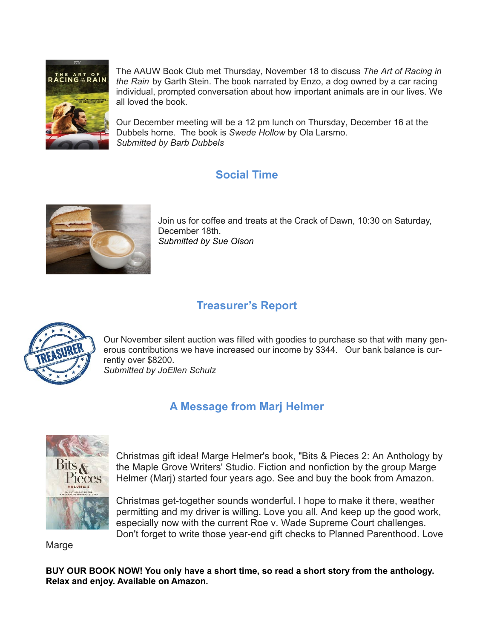

The AAUW Book Club met Thursday, November 18 to discuss *The Art of Racing in the Rain* by Garth Stein. The book narrated by Enzo, a dog owned by a car racing individual, prompted conversation about how important animals are in our lives. We all loved the book.

Our December meeting will be a 12 pm lunch on Thursday, December 16 at the Dubbels home. The book is *Swede Hollow* by Ola Larsmo. *Submitted by Barb Dubbels*

# **Social Time**



Join us for coffee and treats at the Crack of Dawn, 10:30 on Saturday, December 18th. *Submitted by Sue Olson*

## **Treasurer's Report**



Our November silent auction was filled with goodies to purchase so that with many generous contributions we have increased our income by \$344. Our bank balance is currently over \$8200. *Submitted by JoEllen Schulz*

# **A Message from Marj Helmer**



Christmas gift idea! Marge Helmer's book, "Bits & Pieces 2: An Anthology by the Maple Grove Writers' Studio. Fiction and nonfiction by the group Marge Helmer (Marj) started four years ago. See and buy the book from Amazon.

Christmas get-together sounds wonderful. I hope to make it there, weather permitting and my driver is willing. Love you all. And keep up the good work, especially now with the current Roe v. Wade Supreme Court challenges. Don't forget to write those year-end gift checks to Planned Parenthood. Love

Marge

**BUY OUR BOOK NOW! You only have a short time, so read a short story from the anthology. Relax and enjoy. Available on Amazon.**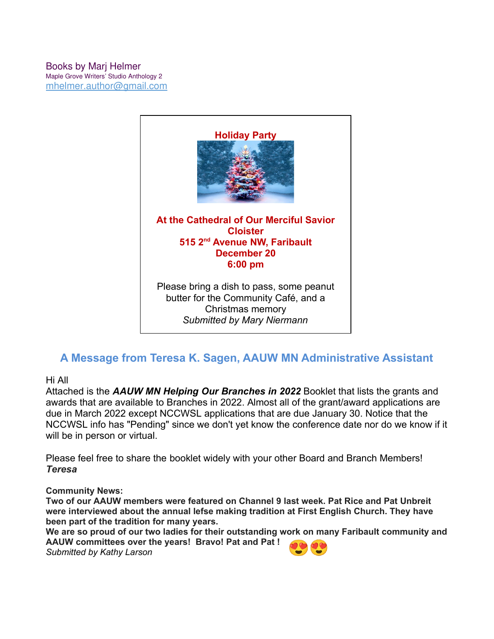#### Books by Marj Helmer Maple Grove Writers' Studio Anthology 2 mhelmer.author@gmail.com



## **A Message from Teresa K. Sagen, AAUW MN Administrative Assistant**

#### Hi All

Attached is the *AAUW MN Helping Our Branches in 2022* Booklet that lists the grants and awards that are available to Branches in 2022. Almost all of the grant/award applications are due in March 2022 except NCCWSL applications that are due January 30. Notice that the NCCWSL info has "Pending" since we don't yet know the conference date nor do we know if it will be in person or virtual.

Please feel free to share the booklet widely with your other Board and Branch Members! *Teresa*

#### **Community News:**

**Two of our AAUW members were featured on Channel 9 last week. Pat Rice and Pat Unbreit were interviewed about the annual lefse making tradition at First English Church. They have been part of the tradition for many years.**

**We are so proud of our two ladies for their outstanding work on many Faribault community and AAUW committees over the years! Bravo! Pat and Pat !** *Submitted by Kathy Larson*